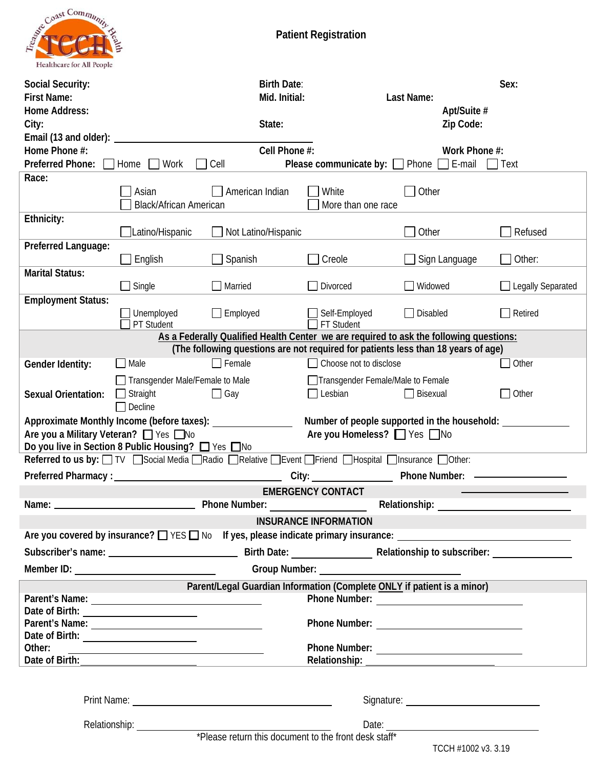

| <b>Social Security:</b><br><b>First Name:</b><br><b>Home Address:</b><br>City:                                                                                                                                                        |                                                            | <b>Birth Date:</b><br>Mid. Initial:<br>State:                                                |                                   | Last Name:<br>Apt/Suite #<br>Zip Code:                                                                                                                                                                                               | Sex:                     |  |
|---------------------------------------------------------------------------------------------------------------------------------------------------------------------------------------------------------------------------------------|------------------------------------------------------------|----------------------------------------------------------------------------------------------|-----------------------------------|--------------------------------------------------------------------------------------------------------------------------------------------------------------------------------------------------------------------------------------|--------------------------|--|
| Email (13 and older): _<br>Home Phone #:<br><b>Preferred Phone:</b>                                                                                                                                                                   | Home<br>Work                                               | Cell Phone #:<br>Cell                                                                        |                                   | Work Phone #:<br><b>Please communicate by:</b> $\Box$ Phone $\Box$ E-mail $\Box$ Text                                                                                                                                                |                          |  |
| Race:                                                                                                                                                                                                                                 |                                                            |                                                                                              |                                   |                                                                                                                                                                                                                                      |                          |  |
|                                                                                                                                                                                                                                       | Asian<br><b>Black/African American</b>                     | American Indian                                                                              | White<br>More than one race       | Other                                                                                                                                                                                                                                |                          |  |
| Ethnicity:                                                                                                                                                                                                                            | Latino/Hispanic                                            | Not Latino/Hispanic                                                                          |                                   | Other                                                                                                                                                                                                                                | Refused                  |  |
| Preferred Language:                                                                                                                                                                                                                   | English                                                    | Spanish                                                                                      | Creole                            | Sign Language                                                                                                                                                                                                                        | Other:                   |  |
| <b>Marital Status:</b>                                                                                                                                                                                                                | $\Box$ Single                                              | $\Box$ Married                                                                               | Divorced                          | Widowed<br>$\blacksquare$                                                                                                                                                                                                            | $\Box$ Legally Separated |  |
| <b>Employment Status:</b>                                                                                                                                                                                                             | Unemployed<br>PT Student                                   | $\Box$ Employed                                                                              | Self-Employed<br>FT Student       | $\Box$ Disabled                                                                                                                                                                                                                      | Retired                  |  |
| As a Federally Qualified Health Center we are required to ask the following questions:<br>(The following questions are not required for patients less than 18 years of age)                                                           |                                                            |                                                                                              |                                   |                                                                                                                                                                                                                                      |                          |  |
| Gender Identity:                                                                                                                                                                                                                      | Male                                                       | $\Box$ Female                                                                                | Choose not to disclose            |                                                                                                                                                                                                                                      | Other                    |  |
|                                                                                                                                                                                                                                       | Transgender Male/Female to Male                            |                                                                                              | Transgender Female/Male to Female |                                                                                                                                                                                                                                      |                          |  |
| <b>Sexual Orientation:</b>                                                                                                                                                                                                            | Straight<br>Decline                                        | $\Box$ Gay                                                                                   | $\Box$ Lesbian                    | $\Box$ Bisexual                                                                                                                                                                                                                      | $\Box$ Other             |  |
| Approximate Monthly Income (before taxes):<br>Number of people supported in the household: ___________<br>Are you a Military Veteran? [ Yes Mo<br>Are you Homeless? □ Yes □ No<br>Do you live in Section 8 Public Housing? □ Yes □ No |                                                            |                                                                                              |                                   |                                                                                                                                                                                                                                      |                          |  |
|                                                                                                                                                                                                                                       |                                                            | Referred to us by: TV Social Media Radio Relative Burent Priend BHospital BInsurance DOther: |                                   |                                                                                                                                                                                                                                      |                          |  |
| <b>Preferred Pharmacy:</b>                                                                                                                                                                                                            |                                                            | City:                                                                                        |                                   | <b>Phone Number:</b>                                                                                                                                                                                                                 |                          |  |
| Name:                                                                                                                                                                                                                                 |                                                            | <b>Phone Number:</b>                                                                         | <b>EMERGENCY CONTACT</b>          | Relationship:                                                                                                                                                                                                                        |                          |  |
|                                                                                                                                                                                                                                       |                                                            |                                                                                              | <b>INSURANCE INFORMATION</b>      |                                                                                                                                                                                                                                      |                          |  |
|                                                                                                                                                                                                                                       |                                                            |                                                                                              |                                   |                                                                                                                                                                                                                                      |                          |  |
|                                                                                                                                                                                                                                       |                                                            |                                                                                              |                                   |                                                                                                                                                                                                                                      |                          |  |
|                                                                                                                                                                                                                                       |                                                            |                                                                                              |                                   | Group Number: <u>with a series of the series of the series of the series of the series of the series of the series of the series of the series of the series of the series of the series of the series of the series of the seri</u> |                          |  |
|                                                                                                                                                                                                                                       |                                                            |                                                                                              |                                   | Parent/Legal Guardian Information (Complete ONLY if patient is a minor)                                                                                                                                                              |                          |  |
|                                                                                                                                                                                                                                       |                                                            |                                                                                              |                                   |                                                                                                                                                                                                                                      |                          |  |
|                                                                                                                                                                                                                                       |                                                            |                                                                                              |                                   |                                                                                                                                                                                                                                      |                          |  |
|                                                                                                                                                                                                                                       |                                                            |                                                                                              |                                   |                                                                                                                                                                                                                                      |                          |  |
| Other:                                                                                                                                                                                                                                | <u> 1989 - Johann Barbara, martxa alemaniar amerikan a</u> |                                                                                              |                                   |                                                                                                                                                                                                                                      |                          |  |
|                                                                                                                                                                                                                                       |                                                            |                                                                                              |                                   |                                                                                                                                                                                                                                      |                          |  |
|                                                                                                                                                                                                                                       |                                                            |                                                                                              |                                   |                                                                                                                                                                                                                                      |                          |  |
|                                                                                                                                                                                                                                       |                                                            | Relationship: <u>universe that the front dock staff</u>                                      |                                   | <u> 1989 - Johann Barn, amerikansk politiker (d. 1989)</u>                                                                                                                                                                           |                          |  |